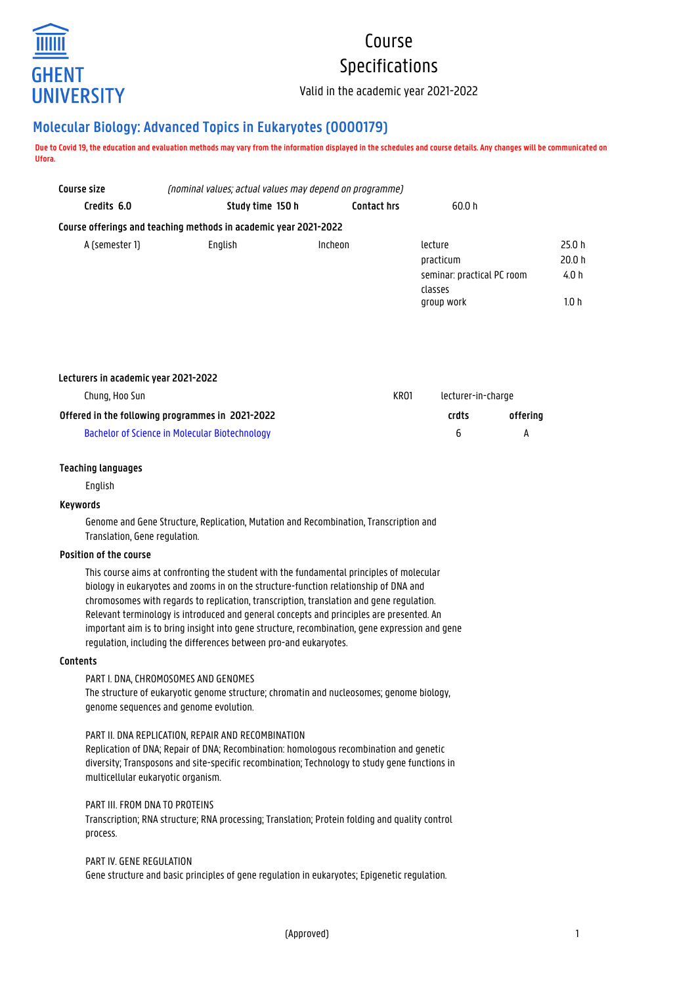

# Course Specifications

Valid in the academic year 2021-2022

# **Molecular Biology: Advanced Topics in Eukaryotes (O000179)**

**Due to Covid 19, the education and evaluation methods may vary from the information displayed in the schedules and course details. Any changes will be communicated on Ufora.**

| Course size    | (nominal values; actual values may depend on programme)          |                    |                                       |                 |  |
|----------------|------------------------------------------------------------------|--------------------|---------------------------------------|-----------------|--|
| Credits 6.0    | Study time 150 h                                                 | <b>Contact hrs</b> | 60.0 h                                |                 |  |
|                | Course offerings and teaching methods in academic year 2021-2022 |                    |                                       |                 |  |
| A (semester 1) | English                                                          | Incheon            | lecture<br>practicum                  | 25.0 h<br>20.0h |  |
|                |                                                                  |                    | seminar: practical PC room<br>classes | 4.0 h           |  |
|                |                                                                  |                    | group work                            | 1.0 h           |  |

| Lecturers in academic year 2021-2022             |      |                    |          |
|--------------------------------------------------|------|--------------------|----------|
| Chung, Hoo Sun                                   | KR01 | lecturer-in-charge |          |
| Offered in the following programmes in 2021-2022 |      | crdts              | offering |
| Bachelor of Science in Molecular Biotechnology   |      | <sub>6</sub>       |          |

# **Teaching languages**

English

# **Keywords**

Genome and Gene Structure, Replication, Mutation and Recombination, Transcription and Translation, Gene regulation.

# **Position of the course**

This course aims at confronting the student with the fundamental principles of molecular biology in eukaryotes and zooms in on the structure-function relationship of DNA and chromosomes with regards to replication, transcription, translation and gene regulation. Relevant terminology is introduced and general concepts and principles are presented. An important aim is to bring insight into gene structure, recombination, gene expression and gene regulation, including the differences between pro-and eukaryotes.

#### **Contents**

# PART I. DNA, CHROMOSOMES AND GENOMES

The structure of eukaryotic genome structure; chromatin and nucleosomes; genome biology, genome sequences and genome evolution.

# PART II. DNA REPLICATION, REPAIR AND RECOMBINATION

Replication of DNA; Repair of DNA; Recombination: homologous recombination and genetic diversity; Transposons and site-specific recombination; Technology to study gene functions in multicellular eukaryotic organism.

# PART III. FROM DNA TO PROTEINS

Transcription; RNA structure; RNA processing; Translation; Protein folding and quality control process.

#### PART IV. GENE REGULATION

Gene structure and basic principles of gene regulation in eukaryotes; Epigenetic regulation.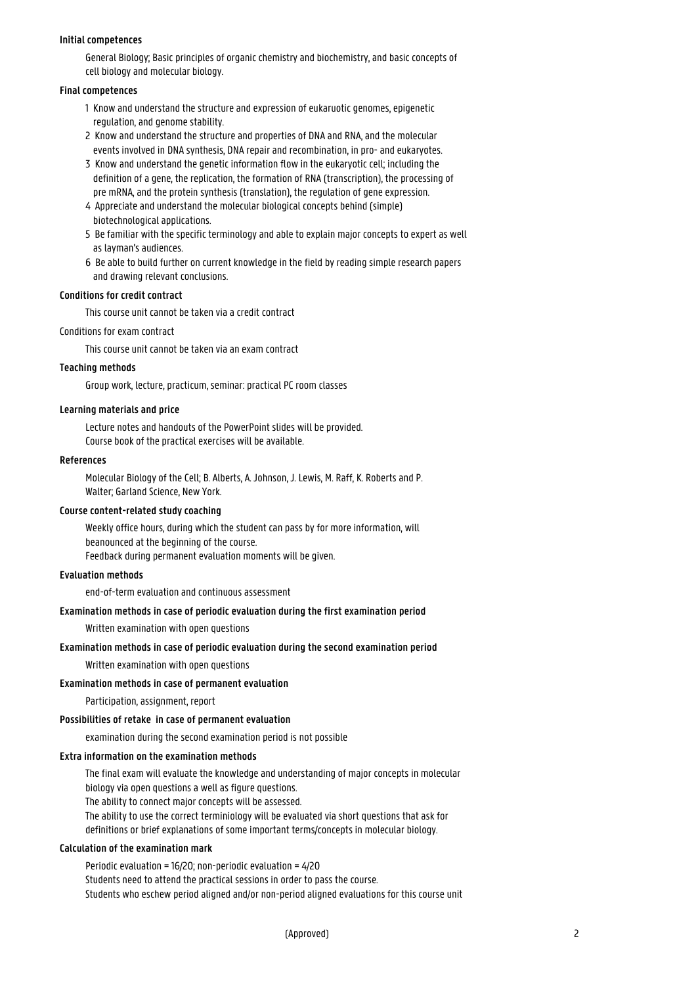#### **Initial competences**

General Biology; Basic principles of organic chemistry and biochemistry, and basic concepts of cell biology and molecular biology.

#### **Final competences**

- 1 Know and understand the structure and expression of eukaruotic genomes, epigenetic regulation, and genome stability.
- 2 Know and understand the structure and properties of DNA and RNA, and the molecular events involved in DNA synthesis. DNA repair and recombination, in pro- and eukaryotes.
- 3 Know and understand the genetic information flow in the eukaryotic cell; including the 1 definition of a gene, the replication, the formation of RNA (transcription), the processing of pre mRNA, and the protein synthesis (translation), the regulation of gene expression.
- 4 Appreciate and understand the molecular biological concepts behind (simple) biotechnological applications.
- 5 Be familiar with the specific terminology and able to explain major concepts to expert as well as layman's audiences.
- 6 Be able to build further on current knowledge in the field by reading simple research papers and drawing relevant conclusions.

#### **Conditions for credit contract**

This course unit cannot be taken via a credit contract

Conditions for exam contract

This course unit cannot be taken via an exam contract

#### **Teaching methods**

Group work, lecture, practicum, seminar: practical PC room classes

#### **Learning materials and price**

Lecture notes and handouts of the PowerPoint slides will be provided. Course book of the practical exercises will be available.

#### **References**

Molecular Biology of the Cell; B. Alberts, A. Johnson, J. Lewis, M. Raff, K. Roberts and P. Walter; Garland Science, New York.

#### **Course content-related study coaching**

Weekly office hours, during which the student can pass by for more information, will beanounced at the beginning of the course. Feedback during permanent evaluation moments will be given.

#### **Evaluation methods**

end-of-term evaluation and continuous assessment

#### **Examination methods in case of periodic evaluation during the first examination period**

Written examination with open questions

#### **Examination methods in case of periodic evaluation during the second examination period**

Written examination with open questions

#### **Examination methods in case of permanent evaluation**

Participation, assignment, report

#### **Possibilities of retake in case of permanent evaluation**

examination during the second examination period is not possible

#### **Extra information on the examination methods**

The final exam will evaluate the knowledge and understanding of major concepts in molecular biology via open questions a well as figure questions.

The ability to connect major concepts will be assessed.

The ability to use the correct terminiology will be evaluated via short questions that ask for definitions or brief explanations of some important terms/concepts in molecular biology.

#### **Calculation of the examination mark**

Periodic evaluation = 16/20; non-periodic evaluation = 4/20 Students need to attend the practical sessions in order to pass the course. Students who eschew period aligned and/or non-period aligned evaluations for this course unit